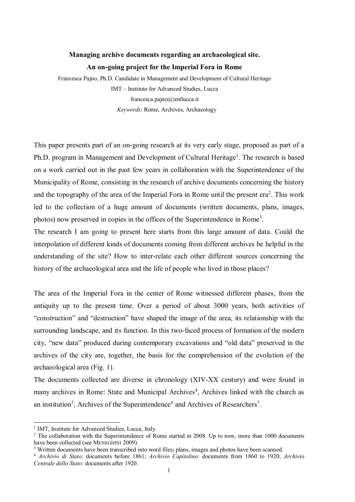## **Managing archive documents regarding an archaeological site. An on-going project for the Imperial Fora in Rome**

Francesca Pajno, Ph.D. Candidate in Management and Development of Cultural Heritage IMT – Institute for Advanced Studies, Lucca [francesca.pajno@imtlucca.it](mailto:francesca.pajno@imtlucca.it) *Keywords*: Rome, Archives, Archaeology

This paper presents part of an on-going research at its very early stage, proposed as part of a Ph.D. program in Management and Development of Cultural Heritage<sup>1</sup>. The research is based on a work carried out in the past few years in collaboration with the Superintendence of the Municipality of Rome, consisting in the research of archive documents concerning the history and the topography of the area of the Imperial Fora in Rome until the present era<sup>2</sup>. This work led to the collection of a huge amount of documents (written documents, plans, images, photos) now preserved in copies in the offices of the Superintendence in Rome<sup>3</sup>.

The research I am going to present here starts from this large amount of data. Could the interpolation of different kinds of documents coming from different archives be helpful in the understanding of the site? How to inter-relate each other different sources concerning the history of the archaeological area and the life of people who lived in those places?

The area of the Imperial Fora in the center of Rome witnessed different phases, from the antiquity up to the present time. Over a period of about 3000 years, both activities of "construction" and "destruction" have shaped the image of the area, its relationship with the surrounding landscape, and its function. In this two-faced process of formation of the modern city, "new data" produced during contemporary excavations and "old data" preserved in the archives of the city are, together, the basis for the comprehension of the evolution of the archaeological area (Fig. 1).

The documents collected are diverse in chronology (XIV-XX century) and were found in many archives in Rome: State and Municipal Archives<sup>4</sup>, Archives linked with the church as an institution<sup>5</sup>, Archives of the Superintendence<sup>6</sup> and Archives of Researchers<sup>7</sup>.

-

<sup>&</sup>lt;sup>1</sup> IMT, Institute for Advanced Studies, Lucca, Italy.

<sup>&</sup>lt;sup>2</sup> The collaboration with the Superintendence of Rome started in 2008. Up to now, more than 1000 documents have been collected (see MENEGHINI 2009).

<sup>3</sup> Written documents have been transcribed into word files; plans, images and photos have been scanned.

<sup>4</sup> *Archivio di Stato*: documents before 1861; *Archivio Capitolino*: documents from 1860 to 1920; *Archivio Centrale dello Stato*: documents after 1920.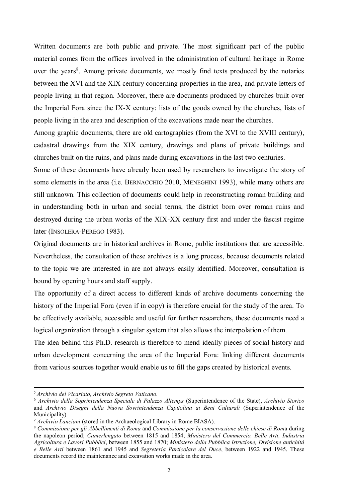Written documents are both public and private. The most significant part of the public material comes from the offices involved in the administration of cultural heritage in Rome over the years<sup>8</sup>. Among private documents, we mostly find texts produced by the notaries between the XVI and the XIX century concerning properties in the area, and private letters of people living in that region. Moreover, there are documents produced by churches built over the Imperial Fora since the IX-X century: lists of the goods owned by the churches, lists of people living in the area and description of the excavations made near the churches.

Among graphic documents, there are old cartographies (from the XVI to the XVIII century), cadastral drawings from the XIX century, drawings and plans of private buildings and churches built on the ruins, and plans made during excavations in the last two centuries.

Some of these documents have already been used by researchers to investigate the story of some elements in the area (i.e. BERNACCHIO 2010, MENEGHINI 1993), while many others are still unknown. This collection of documents could help in reconstructing roman building and in understanding both in urban and social terms, the district born over roman ruins and destroyed during the urban works of the XIX-XX century first and under the fascist regime later (INSOLERA-PEREGO 1983).

Original documents are in historical archives in Rome, public institutions that are accessible. Nevertheless, the consultation of these archives is a long process, because documents related to the topic we are interested in are not always easily identified. Moreover, consultation is bound by opening hours and staff supply.

The opportunity of a direct access to different kinds of archive documents concerning the history of the Imperial Fora (even if in copy) is therefore crucial for the study of the area. To be effectively available, accessible and useful for further researchers, these documents need a logical organization through a singular system that also allows the interpolation of them.

The idea behind this Ph.D. research is therefore to mend ideally pieces of social history and urban development concerning the area of the Imperial Fora: linking different documents from various sources together would enable us to fill the gaps created by historical events.

-

<sup>5</sup> *Archivio del Vicariato, Archivio Segreto Vaticano.*

<sup>6</sup> *Archivio della Soprintendenza Speciale di Palazzo Altemps* (Superintendence of the State), *Archivio Storico*  and *Archivio Disegni della Nuova Sovrintendenza Capitolina ai Beni Culturali* (Superintendence of the Municipality).

<sup>7</sup> *Archivio Lanciani* (stored in the Archaeological Library in Rome BIASA).

<sup>8</sup> *Commissione per gli Abbellimenti di Roma* and *Commissione per la conservazione delle chiese di Rom*a during the napoleon period; *Camerlengato* between 1815 and 1854; *Ministero del Commercio, Belle Arti, Industria Agricoltura e Lavori Pubblici*, between 1855 and 1870; *Ministero della Pubblica Istruzione, Divisione antichità e Belle Arti* between 1861 and 1945 and *Segreteria Particolare del Duce*, between 1922 and 1945. These documents record the maintenance and excavation works made in the area.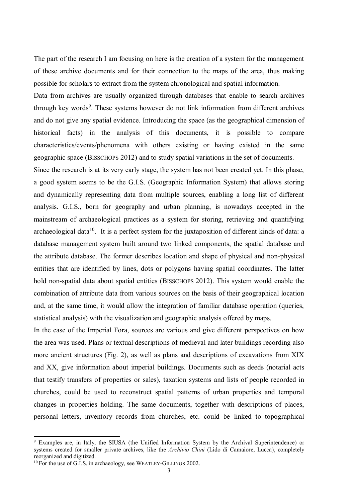The part of the research I am focusing on here is the creation of a system for the management of these archive documents and for their connection to the maps of the area, thus making possible for scholars to extract from the system chronological and spatial information.

Data from archives are usually organized through databases that enable to search archives through key words<sup>9</sup>. These systems however do not link information from different archives and do not give any spatial evidence. Introducing the space (as the geographical dimension of historical facts) in the analysis of this documents, it is possible to compare characteristics/events/phenomena with others existing or having existed in the same geographic space (BISSCHOPS 2012) and to study spatial variations in the set of documents.

Since the research is at its very early stage, the system has not been created yet. In this phase, a good system seems to be the G.I.S. (Geographic Information System) that allows storing and dynamically representing data from multiple sources, enabling a long list of different analysis. G.I.S., born for geography and urban planning, is nowadays accepted in the mainstream of archaeological practices as a system for storing, retrieving and quantifying archaeological data<sup>10</sup>. It is a perfect system for the juxtaposition of different kinds of data: a database management system built around two linked components, the spatial database and the attribute database. The former describes location and shape of physical and non-physical entities that are identified by lines, dots or polygons having spatial coordinates. The latter hold non-spatial data about spatial entities (BISSCHOPS 2012). This system would enable the combination of attribute data from various sources on the basis of their geographical location and, at the same time, it would allow the integration of familiar database operation (queries, statistical analysis) with the visualization and geographic analysis offered by maps.

In the case of the Imperial Fora, sources are various and give different perspectives on how the area was used. Plans or textual descriptions of medieval and later buildings recording also more ancient structures (Fig. 2), as well as plans and descriptions of excavations from XIX and XX, give information about imperial buildings. Documents such as deeds (notarial acts that testify transfers of properties or sales), taxation systems and lists of people recorded in churches, could be used to reconstruct spatial patterns of urban properties and temporal changes in properties holding. The same documents, together with descriptions of places, personal letters, inventory records from churches, etc. could be linked to topographical

-

<sup>9</sup> Examples are, in Italy, the SIUSA (the Unified Information System by the Archival Superintendence) or systems created for smaller private archives, like the *Archivio Chini* (Lido di Camaiore, Lucca), completely reorganized and digitized.

<sup>&</sup>lt;sup>10</sup> For the use of G.I.S. in archaeology, see WEATLEY-GILLINGS 2002.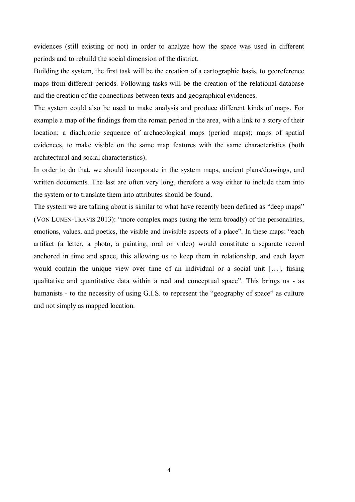evidences (still existing or not) in order to analyze how the space was used in different periods and to rebuild the social dimension of the district.

Building the system, the first task will be the creation of a cartographic basis, to georeference maps from different periods. Following tasks will be the creation of the relational database and the creation of the connections between texts and geographical evidences.

The system could also be used to make analysis and produce different kinds of maps. For example a map of the findings from the roman period in the area, with a link to a story of their location; a diachronic sequence of archaeological maps (period maps); maps of spatial evidences, to make visible on the same map features with the same characteristics (both architectural and social characteristics).

In order to do that, we should incorporate in the system maps, ancient plans/drawings, and written documents. The last are often very long, therefore a way either to include them into the system or to translate them into attributes should be found.

The system we are talking about is similar to what have recently been defined as "deep maps" (VON LUNEN-TRAVIS 2013): "more complex maps (using the term broadly) of the personalities, emotions, values, and poetics, the visible and invisible aspects of a place". In these maps: "each artifact (a letter, a photo, a painting, oral or video) would constitute a separate record anchored in time and space, this allowing us to keep them in relationship, and each layer would contain the unique view over time of an individual or a social unit […], fusing qualitative and quantitative data within a real and conceptual space". This brings us - as humanists - to the necessity of using G.I.S. to represent the "geography of space" as culture and not simply as mapped location.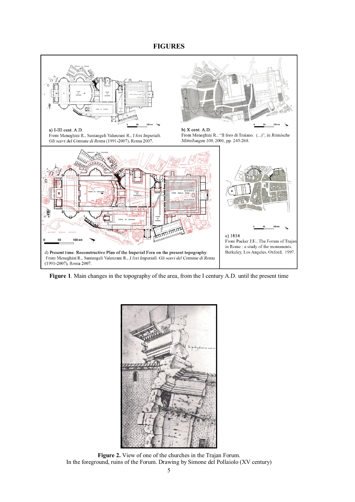## **FIGURES**



**Figure 1***.* Main changes in the topography of the area, from the I century A.D. until the present time



**Figure 2.** View of one of the churches in the Trajan Forum. In the foreground, ruins of the Forum. Drawing by Simone del Pollaiolo (XV century)